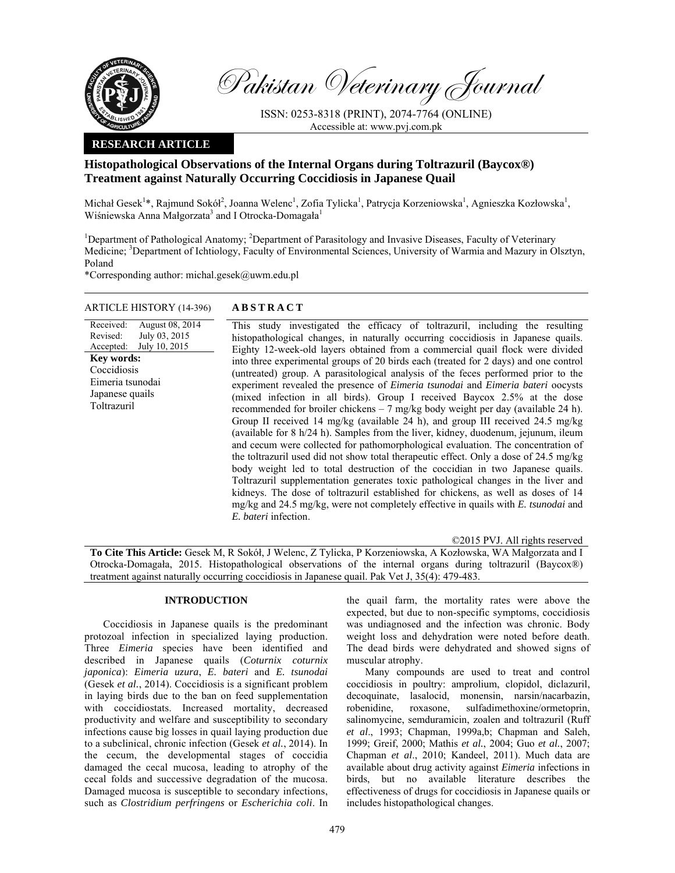

Pakistan Veterinary Journal

ISSN: 0253-8318 (PRINT), 2074-7764 (ONLINE) Accessible at: www.pvj.com.pk

## **RESEARCH ARTICLE**

# **Histopathological Observations of the Internal Organs during Toltrazuril (Baycox®) Treatment against Naturally Occurring Coccidiosis in Japanese Quail**

Michał Gesek<sup>1</sup>\*, Rajmund Sokół<sup>2</sup>, Joanna Welenc<sup>1</sup>, Zofia Tylicka<sup>1</sup>, Patrycja Korzeniowska<sup>1</sup>, Agnieszka Kozłowska<sup>1</sup>, Wiśniewska Anna Małgorzata<sup>3</sup> and I Otrocka-Domagała<sup>1</sup>

<sup>1</sup>Department of Pathological Anatomy; <sup>2</sup>Department of Parasitology and Invasive Diseases, Faculty of Veterinary Medicine; <sup>3</sup>Department of Ichtiology, Faculty of Environmental Sciences, University of Warmia and Mazury in Olsztyn, Poland

\*Corresponding author: michal.gesek@uwm.edu.pl

## ARTICLE HISTORY (14-396) **ABSTRACT**

Received: Revised: Accepted: August 08, 2014 July 03, 2015 July 10, 2015 This study investigated the efficacy of toltrazuril, including the resulting histopathological changes, in naturally occurring coccidiosis in Japanese quails. Eighty 12-week-old layers obtained from a commercial quail flock were divided into three experimental groups of 20 birds each (treated for 2 days) and one control (untreated) group. A parasitological analysis of the feces performed prior to the experiment revealed the presence of *Eimeria tsunodai* and *Eimeria bateri* oocysts (mixed infection in all birds). Group I received Baycox 2.5% at the dose recommended for broiler chickens – 7 mg/kg body weight per day (available 24 h). Group II received 14 mg/kg (available 24 h), and group III received 24.5 mg/kg (available for 8 h/24 h). Samples from the liver, kidney, duodenum, jejunum, ileum and cecum were collected for pathomorphological evaluation. The concentration of the toltrazuril used did not show total therapeutic effect. Only a dose of 24.5 mg/kg body weight led to total destruction of the coccidian in two Japanese quails. Toltrazuril supplementation generates toxic pathological changes in the liver and kidneys. The dose of toltrazuril established for chickens, as well as doses of 14 mg/kg and 24.5 mg/kg, were not completely effective in quails with *E. tsunodai* and *E. bateri* infection. **Key words:**  Coccidiosis Eimeria tsunodai Japanese quails **Toltrazuril** 

©2015 PVJ. All rights reserved

**To Cite This Article:** Gesek M, R Sokół, J Welenc, Z Tylicka, P Korzeniowska, A Kozłowska, WA Małgorzata and I Otrocka-Domagała, 2015. Histopathological observations of the internal organs during toltrazuril (Baycox®) treatment against naturally occurring coccidiosis in Japanese quail. Pak Vet J, 35(4): 479-483.

## **INTRODUCTION**

Coccidiosis in Japanese quails is the predominant protozoal infection in specialized laying production. Three *Eimeria* species have been identified and described in Japanese quails (*Coturnix coturnix japonica*): *Eimeria uzura*, *E. bateri* and *E. tsunodai* (Gesek *et al.*, 2014). Coccidiosis is a significant problem in laying birds due to the ban on feed supplementation with coccidiostats. Increased mortality, decreased productivity and welfare and susceptibility to secondary infections cause big losses in quail laying production due to a subclinical, chronic infection (Gesek *et al.*, 2014). In the cecum, the developmental stages of coccidia damaged the cecal mucosa, leading to atrophy of the cecal folds and successive degradation of the mucosa. Damaged mucosa is susceptible to secondary infections, such as *Clostridium perfringens* or *Escherichia coli*. In

the quail farm, the mortality rates were above the expected, but due to non-specific symptoms, coccidiosis was undiagnosed and the infection was chronic. Body weight loss and dehydration were noted before death. The dead birds were dehydrated and showed signs of muscular atrophy.

Many compounds are used to treat and control coccidiosis in poultry: amprolium, clopidol, diclazuril, decoquinate, lasalocid, monensin, narsin/nacarbazin, robenidine, roxasone, sulfadimethoxine/ormetoprin, salinomycine, semduramicin, zoalen and toltrazuril (Ruff *et al*., 1993; Chapman, 1999a,b; Chapman and Saleh, 1999; Greif, 2000; Mathis *et al.*, 2004; Guo *et al.*, 2007; Chapman *et al*., 2010; Kandeel, 2011). Much data are available about drug activity against *Eimeria* infections in birds, but no available literature describes the effectiveness of drugs for coccidiosis in Japanese quails or includes histopathological changes.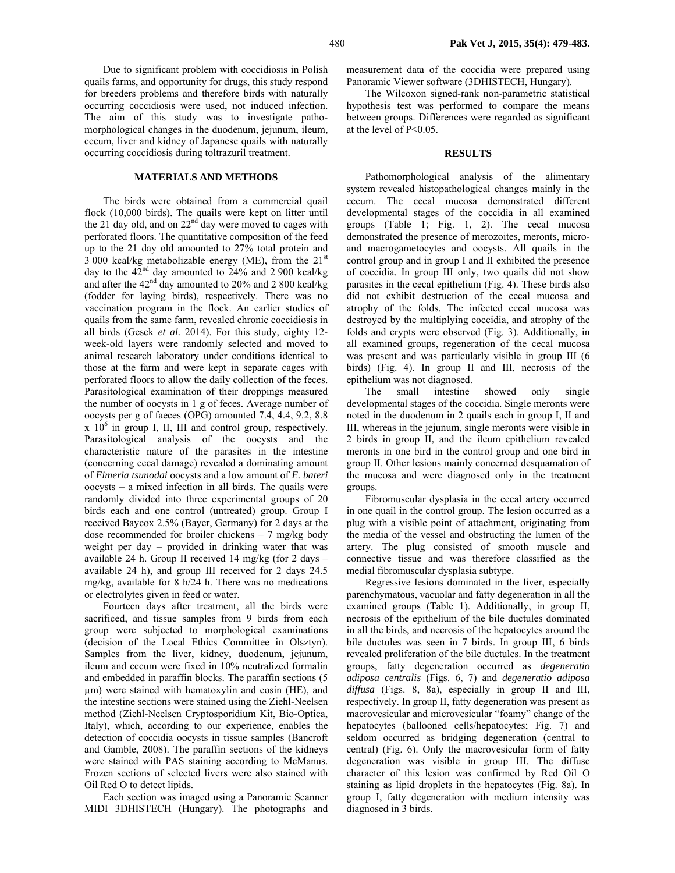Due to significant problem with coccidiosis in Polish quails farms, and opportunity for drugs, this study respond for breeders problems and therefore birds with naturally occurring coccidiosis were used, not induced infection. The aim of this study was to investigate pathomorphological changes in the duodenum, jejunum, ileum, cecum, liver and kidney of Japanese quails with naturally occurring coccidiosis during toltrazuril treatment.

### **MATERIALS AND METHODS**

The birds were obtained from a commercial quail flock (10,000 birds). The quails were kept on litter until the 21 day old, and on  $22<sup>nd</sup>$  day were moved to cages with perforated floors. The quantitative composition of the feed up to the 21 day old amounted to 27% total protein and  $3\,000$  kcal/kg metabolizable energy (ME), from the  $21<sup>st</sup>$ day to the  $42<sup>nd</sup>$  day amounted to 24% and 2 900 kcal/kg and after the  $42<sup>nd</sup>$  day amounted to 20% and 2 800 kcal/kg (fodder for laying birds), respectively. There was no vaccination program in the flock. An earlier studies of quails from the same farm, revealed chronic coccidiosis in all birds (Gesek *et al.* 2014). For this study, eighty 12 week-old layers were randomly selected and moved to animal research laboratory under conditions identical to those at the farm and were kept in separate cages with perforated floors to allow the daily collection of the feces. Parasitological examination of their droppings measured the number of oocysts in 1 g of feces. Average number of oocysts per g of faeces (OPG) amounted 7.4, 4.4, 9.2, 8.8  $x$  10<sup>6</sup> in group I, II, III and control group, respectively. Parasitological analysis of the oocysts and the characteristic nature of the parasites in the intestine (concerning cecal damage) revealed a dominating amount of *Eimeria tsunodai* oocysts and a low amount of *E. bateri* oocysts – a mixed infection in all birds. The quails were randomly divided into three experimental groups of 20 birds each and one control (untreated) group. Group I received Baycox 2.5% (Bayer, Germany) for 2 days at the dose recommended for broiler chickens  $-7$  mg/kg body weight per day – provided in drinking water that was available 24 h. Group II received 14 mg/kg (for 2 days – available 24 h), and group III received for 2 days 24.5 mg/kg, available for 8 h/24 h. There was no medications or electrolytes given in feed or water.

Fourteen days after treatment, all the birds were sacrificed, and tissue samples from 9 birds from each group were subjected to morphological examinations (decision of the Local Ethics Committee in Olsztyn). Samples from the liver, kidney, duodenum, jejunum, ileum and cecum were fixed in 10% neutralized formalin and embedded in paraffin blocks. The paraffin sections (5 µm) were stained with hematoxylin and eosin (HE), and the intestine sections were stained using the Ziehl-Neelsen method (Ziehl-Neelsen Cryptosporidium Kit, Bio-Optica, Italy), which, according to our experience, enables the detection of coccidia oocysts in tissue samples (Bancroft and Gamble, 2008). The paraffin sections of the kidneys were stained with PAS staining according to McManus. Frozen sections of selected livers were also stained with Oil Red O to detect lipids.

Each section was imaged using a Panoramic Scanner MIDI 3DHISTECH (Hungary). The photographs and measurement data of the coccidia were prepared using Panoramic Viewer software (3DHISTECH, Hungary).

The Wilcoxon signed-rank non-parametric statistical hypothesis test was performed to compare the means between groups. Differences were regarded as significant at the level of P<0.05.

#### **RESULTS**

Pathomorphological analysis of the alimentary system revealed histopathological changes mainly in the cecum. The cecal mucosa demonstrated different developmental stages of the coccidia in all examined groups (Table 1; Fig. 1, 2). The cecal mucosa demonstrated the presence of merozoites, meronts, microand macrogametocytes and oocysts. All quails in the control group and in group I and II exhibited the presence of coccidia. In group III only, two quails did not show parasites in the cecal epithelium (Fig. 4). These birds also did not exhibit destruction of the cecal mucosa and atrophy of the folds. The infected cecal mucosa was destroyed by the multiplying coccidia, and atrophy of the folds and crypts were observed (Fig. 3). Additionally, in all examined groups, regeneration of the cecal mucosa was present and was particularly visible in group III (6 birds) (Fig. 4). In group II and III, necrosis of the epithelium was not diagnosed.

The small intestine showed only single developmental stages of the coccidia. Single meronts were noted in the duodenum in 2 quails each in group I, II and III, whereas in the jejunum, single meronts were visible in 2 birds in group II, and the ileum epithelium revealed meronts in one bird in the control group and one bird in group II. Other lesions mainly concerned desquamation of the mucosa and were diagnosed only in the treatment groups.

Fibromuscular dysplasia in the cecal artery occurred in one quail in the control group. The lesion occurred as a plug with a visible point of attachment, originating from the media of the vessel and obstructing the lumen of the artery. The plug consisted of smooth muscle and connective tissue and was therefore classified as the medial fibromuscular dysplasia subtype.

Regressive lesions dominated in the liver, especially parenchymatous, vacuolar and fatty degeneration in all the examined groups (Table 1). Additionally, in group II, necrosis of the epithelium of the bile ductules dominated in all the birds, and necrosis of the hepatocytes around the bile ductules was seen in 7 birds. In group III, 6 birds revealed proliferation of the bile ductules. In the treatment groups, fatty degeneration occurred as *degeneratio adiposa centralis* (Figs. 6, 7) and *degeneratio adiposa diffusa* (Figs. 8, 8a), especially in group II and III, respectively. In group II, fatty degeneration was present as macrovesicular and microvesicular "foamy" change of the hepatocytes (ballooned cells/hepatocytes; Fig. 7) and seldom occurred as bridging degeneration (central to central) (Fig. 6). Only the macrovesicular form of fatty degeneration was visible in group III. The diffuse character of this lesion was confirmed by Red Oil O staining as lipid droplets in the hepatocytes (Fig. 8a). In group I, fatty degeneration with medium intensity was diagnosed in 3 birds.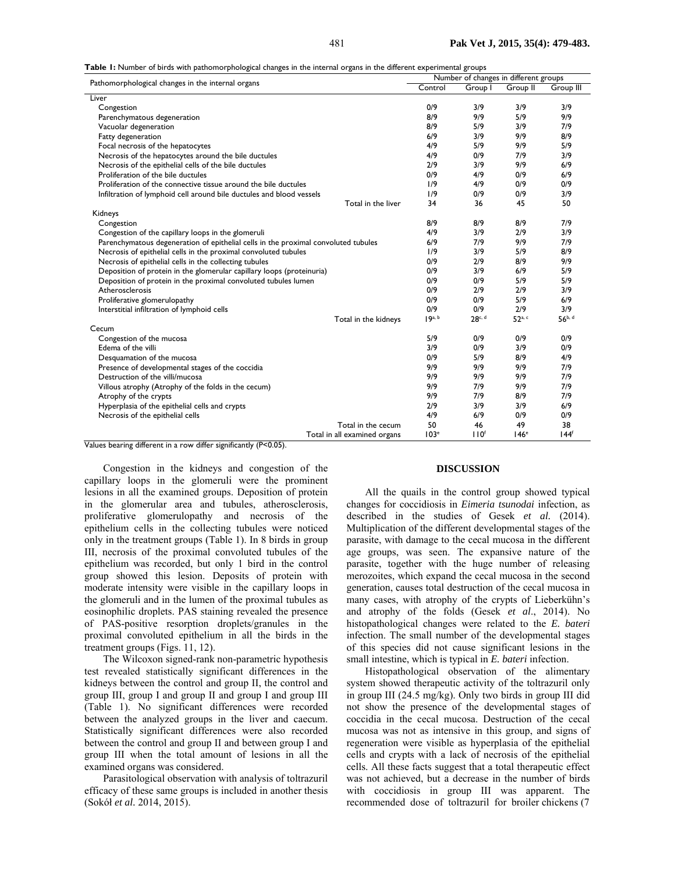**Table 1:** Number of birds with pathomorphological changes in the internal organs in the different experimental groups

| rable 1. Namber of birds with patholitorphological changes in the internal organs in the unlerent experimental groups<br>Pathomorphological changes in the internal organs | Number of changes in different groups |                  |                    |                  |
|----------------------------------------------------------------------------------------------------------------------------------------------------------------------------|---------------------------------------|------------------|--------------------|------------------|
|                                                                                                                                                                            | Control                               | Group I          | Group II           | Group III        |
| Liver                                                                                                                                                                      |                                       |                  |                    |                  |
| Congestion                                                                                                                                                                 | 0/9                                   | 3/9              | 3/9                | 3/9              |
| Parenchymatous degeneration                                                                                                                                                | 8/9                                   | 9/9              | 5/9                | 9/9              |
| Vacuolar degeneration                                                                                                                                                      | 8/9                                   | 5/9              | 3/9                | 7/9              |
| Fatty degeneration                                                                                                                                                         | 6/9                                   | 3/9              | 9/9                | 8/9              |
| Focal necrosis of the hepatocytes                                                                                                                                          | 4/9                                   | 5/9              | 9/9                | 5/9              |
| Necrosis of the hepatocytes around the bile ductules                                                                                                                       | 4/9                                   | 0/9              | 7/9                | 3/9              |
| Necrosis of the epithelial cells of the bile ductules                                                                                                                      | 2/9                                   | 3/9              | 9/9                | 6/9              |
| Proliferation of the bile ductules                                                                                                                                         | 0/9                                   | 4/9              | 0/9                | 6/9              |
| Proliferation of the connective tissue around the bile ductules                                                                                                            | 1/9                                   | 4/9              | 0/9                | 0/9              |
| Infiltration of lymphoid cell around bile ductules and blood vessels                                                                                                       | 1/9                                   | 0/9              | 0/9                | 3/9              |
| Total in the liver                                                                                                                                                         | 34                                    | 36               | 45                 | 50               |
| Kidneys                                                                                                                                                                    |                                       |                  |                    |                  |
| Congestion                                                                                                                                                                 | 8/9                                   | 8/9              | 8/9                | 7/9              |
| Congestion of the capillary loops in the glomeruli                                                                                                                         | 4/9                                   | 3/9              | 2/9                | 3/9              |
| Parenchymatous degeneration of epithelial cells in the proximal convoluted tubules                                                                                         | 6/9                                   | 7/9              | 9/9                | 7/9              |
| Necrosis of epithelial cells in the proximal convoluted tubules                                                                                                            | 1/9                                   | 3/9              | 5/9                | 8/9              |
| Necrosis of epithelial cells in the collecting tubules                                                                                                                     | 0/9                                   | 2/9              | 8/9                | 9/9              |
| Deposition of protein in the glomerular capillary loops (proteinuria)                                                                                                      | 0/9                                   | 3/9              | 6/9                | 5/9              |
| Deposition of protein in the proximal convoluted tubules lumen                                                                                                             | 0/9                                   | 0/9              | 5/9                | 5/9              |
| Atherosclerosis                                                                                                                                                            | 0/9                                   | 2/9              | 2/9                | 3/9              |
| Proliferative glomerulopathy                                                                                                                                               | 0/9                                   | 0/9              | 5/9                | 6/9              |
| Interstitial infiltration of lymphoid cells                                                                                                                                | 0/9                                   | 0/9              | 2/9                | 3/9              |
| Total in the kidneys                                                                                                                                                       | 19 <sup>a, b</sup>                    | 28c, d           | 52 <sup>a, c</sup> | 56b, d           |
| Cecum                                                                                                                                                                      |                                       |                  |                    |                  |
| Congestion of the mucosa                                                                                                                                                   | 5/9                                   | 0/9              | 0/9                | 0/9              |
| Edema of the villi                                                                                                                                                         | 3/9                                   | 0/9              | 3/9                | 0/9              |
| Desquamation of the mucosa                                                                                                                                                 | 0/9                                   | 5/9              | 8/9                | 4/9              |
| Presence of developmental stages of the coccidia                                                                                                                           | 9/9                                   | 9/9              | 9/9                | 7/9              |
| Destruction of the villi/mucosa                                                                                                                                            | 9/9                                   | 9/9              | 9/9                | 7/9              |
| Villous atrophy (Atrophy of the folds in the cecum)                                                                                                                        | 9/9                                   | 7/9              | 9/9                | 7/9              |
| Atrophy of the crypts                                                                                                                                                      | 9/9                                   | 7/9              | 8/9                | 7/9              |
| Hyperplasia of the epithelial cells and crypts                                                                                                                             | 2/9                                   | 3/9              | 3/9                | 6/9              |
| Necrosis of the epithelial cells                                                                                                                                           | 4/9                                   | 6/9              | 0/9                | 0/9              |
| Total in the cecum                                                                                                                                                         | 50                                    | 46               | 49                 | 38               |
| Total in all examined organs                                                                                                                                               | 103 <sup>e</sup>                      | 110 <sup>f</sup> | 146 <sup>e</sup>   | 144 <sup>f</sup> |

Values bearing different in a row differ significantly (P<0.05).

Congestion in the kidneys and congestion of the capillary loops in the glomeruli were the prominent lesions in all the examined groups. Deposition of protein in the glomerular area and tubules, atherosclerosis, proliferative glomerulopathy and necrosis of the epithelium cells in the collecting tubules were noticed only in the treatment groups (Table 1). In 8 birds in group III, necrosis of the proximal convoluted tubules of the epithelium was recorded, but only 1 bird in the control group showed this lesion. Deposits of protein with moderate intensity were visible in the capillary loops in the glomeruli and in the lumen of the proximal tubules as eosinophilic droplets. PAS staining revealed the presence of PAS-positive resorption droplets/granules in the proximal convoluted epithelium in all the birds in the treatment groups (Figs. 11, 12).

The Wilcoxon signed-rank non-parametric hypothesis test revealed statistically significant differences in the kidneys between the control and group II, the control and group III, group I and group II and group I and group III (Table 1). No significant differences were recorded between the analyzed groups in the liver and caecum. Statistically significant differences were also recorded between the control and group II and between group I and group III when the total amount of lesions in all the examined organs was considered.

Parasitological observation with analysis of toltrazuril efficacy of these same groups is included in another thesis (Sokół *et al.* 2014, 2015).

### **DISCUSSION**

All the quails in the control group showed typical changes for coccidiosis in *Eimeria tsunodai* infection, as described in the studies of Gesek *et al.* (2014). Multiplication of the different developmental stages of the parasite, with damage to the cecal mucosa in the different age groups, was seen. The expansive nature of the parasite, together with the huge number of releasing merozoites, which expand the cecal mucosa in the second generation, causes total destruction of the cecal mucosa in many cases, with atrophy of the crypts of Lieberkühn's and atrophy of the folds (Gesek *et al*., 2014). No histopathological changes were related to the *E. bateri* infection. The small number of the developmental stages of this species did not cause significant lesions in the small intestine, which is typical in *E. bateri* infection.

Histopathological observation of the alimentary system showed therapeutic activity of the toltrazuril only in group III (24.5 mg/kg). Only two birds in group III did not show the presence of the developmental stages of coccidia in the cecal mucosa. Destruction of the cecal mucosa was not as intensive in this group, and signs of regeneration were visible as hyperplasia of the epithelial cells and crypts with a lack of necrosis of the epithelial cells. All these facts suggest that a total therapeutic effect was not achieved, but a decrease in the number of birds with coccidiosis in group III was apparent. The recommended dose of toltrazuril for broiler chickens (7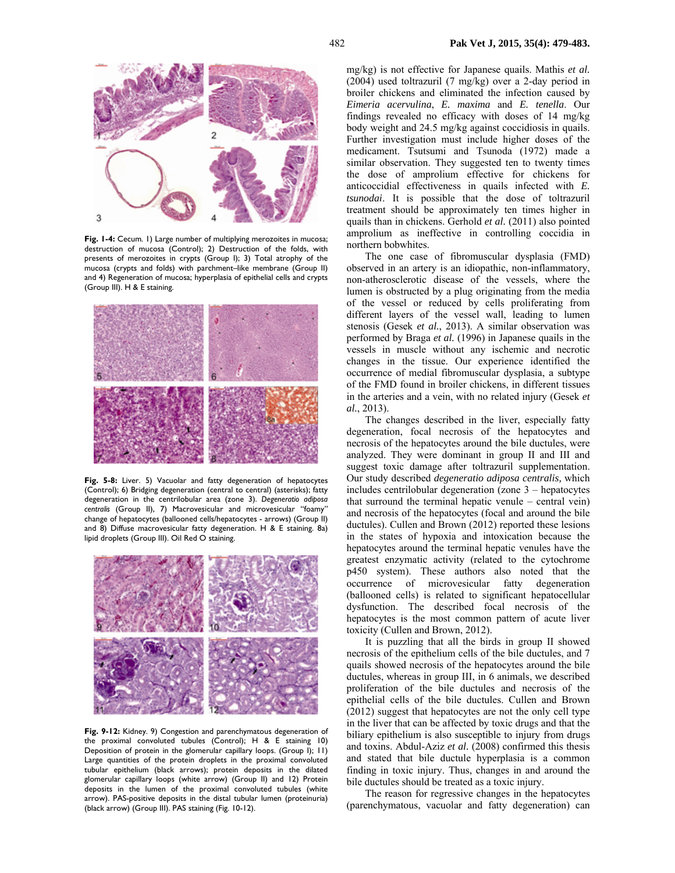

**Fig. 1-4:** Cecum. 1) Large number of multiplying merozoites in mucosa; destruction of mucosa (Control); 2) Destruction of the folds, with presents of merozoites in crypts (Group I); 3) Total atrophy of the mucosa (crypts and folds) with parchment–like membrane (Group II) and 4) Regeneration of mucosa; hyperplasia of epithelial cells and crypts (Group III). H & E staining.



**Fig. 5-8:** Liver. 5) Vacuolar and fatty degeneration of hepatocytes (Control); 6) Bridging degeneration (central to central) (asterisks); fatty degeneration in the centrilobular area (zone 3). *Degeneratio adiposa centralis* (Group II), 7) Macrovesicular and microvesicular "foamy" change of hepatocytes (ballooned cells/hepatocytes - arrows) (Group II) and 8) Diffuse macrovesicular fatty degeneration. H & E staining. 8a) lipid droplets (Group III). Oil Red O staining.



**Fig. 9-12:** Kidney. 9) Congestion and parenchymatous degeneration of the proximal convoluted tubules (Control); H & E staining 10) Deposition of protein in the glomerular capillary loops. (Group I); 11) Large quantities of the protein droplets in the proximal convoluted tubular epithelium (black arrows); protein deposits in the dilated glomerular capillary loops (white arrow) (Group II) and 12) Protein deposits in the lumen of the proximal convoluted tubules (white arrow). PAS-positive deposits in the distal tubular lumen (proteinuria) (black arrow) (Group III). PAS staining (Fig. 10-12).

mg/kg) is not effective for Japanese quails. Mathis *et al.* (2004) used toltrazuril (7 mg/kg) over a 2-day period in broiler chickens and eliminated the infection caused by *Eimeria acervulina*, *E. maxima* and *E. tenella*. Our findings revealed no efficacy with doses of 14 mg/kg body weight and 24.5 mg/kg against coccidiosis in quails. Further investigation must include higher doses of the medicament. Tsutsumi and Tsunoda (1972) made a similar observation. They suggested ten to twenty times the dose of amprolium effective for chickens for anticoccidial effectiveness in quails infected with *E. tsunodai*. It is possible that the dose of toltrazuril treatment should be approximately ten times higher in quails than in chickens. Gerhold *et al.* (2011) also pointed amprolium as ineffective in controlling coccidia in northern bobwhites.

The one case of fibromuscular dysplasia (FMD) observed in an artery is an idiopathic, non-inflammatory, non-atherosclerotic disease of the vessels, where the lumen is obstructed by a plug originating from the media of the vessel or reduced by cells proliferating from different layers of the vessel wall, leading to lumen stenosis (Gesek *et al.*, 2013). A similar observation was performed by Braga *et al.* (1996) in Japanese quails in the vessels in muscle without any ischemic and necrotic changes in the tissue. Our experience identified the occurrence of medial fibromuscular dysplasia, a subtype of the FMD found in broiler chickens, in different tissues in the arteries and a vein, with no related injury (Gesek *et al.*, 2013).

The changes described in the liver, especially fatty degeneration, focal necrosis of the hepatocytes and necrosis of the hepatocytes around the bile ductules, were analyzed. They were dominant in group II and III and suggest toxic damage after toltrazuril supplementation. Our study described *degeneratio adiposa centralis,* which includes centrilobular degeneration (zone 3 – hepatocytes that surround the terminal hepatic venule – central vein) and necrosis of the hepatocytes (focal and around the bile ductules). Cullen and Brown (2012) reported these lesions in the states of hypoxia and intoxication because the hepatocytes around the terminal hepatic venules have the greatest enzymatic activity (related to the cytochrome p450 system). These authors also noted that the occurrence of microvesicular fatty degeneration (ballooned cells) is related to significant hepatocellular dysfunction. The described focal necrosis of the hepatocytes is the most common pattern of acute liver toxicity (Cullen and Brown, 2012).

It is puzzling that all the birds in group II showed necrosis of the epithelium cells of the bile ductules, and 7 quails showed necrosis of the hepatocytes around the bile ductules, whereas in group III, in 6 animals, we described proliferation of the bile ductules and necrosis of the epithelial cells of the bile ductules. Cullen and Brown (2012) suggest that hepatocytes are not the only cell type in the liver that can be affected by toxic drugs and that the biliary epithelium is also susceptible to injury from drugs and toxins. Abdul-Aziz *et al.* (2008) confirmed this thesis and stated that bile ductule hyperplasia is a common finding in toxic injury. Thus, changes in and around the bile ductules should be treated as a toxic injury.

The reason for regressive changes in the hepatocytes (parenchymatous, vacuolar and fatty degeneration) can